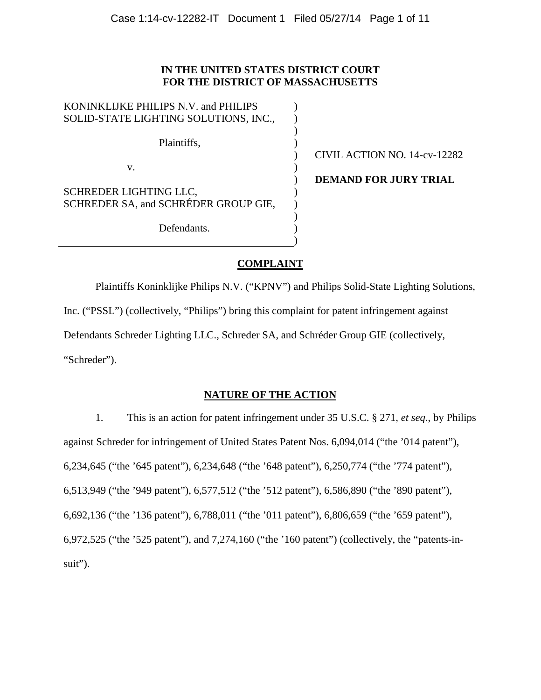# **IN THE UNITED STATES DISTRICT COURT FOR THE DISTRICT OF MASSACHUSETTS**

| KONINKLIJKE PHILIPS N.V. and PHILIPS  |              |
|---------------------------------------|--------------|
| SOLID-STATE LIGHTING SOLUTIONS, INC., |              |
|                                       |              |
| Plaintiffs,                           |              |
|                                       | CIVIL A      |
| v.                                    |              |
|                                       | <b>DEMAN</b> |
| SCHREDER LIGHTING LLC,                |              |
| SCHREDER SA, and SCHRÉDER GROUP GIE,  |              |
|                                       |              |
| Defendants.                           |              |
|                                       |              |
|                                       |              |

CTION NO. 14-cv-12282

**D FOR JURY TRIAL** 

# **COMPLAINT**

Plaintiffs Koninklijke Philips N.V. ("KPNV") and Philips Solid-State Lighting Solutions, Inc. ("PSSL") (collectively, "Philips") bring this complaint for patent infringement against Defendants Schreder Lighting LLC., Schreder SA, and Schréder Group GIE (collectively, "Schreder").

# **NATURE OF THE ACTION**

1. This is an action for patent infringement under 35 U.S.C. § 271, *et seq.*, by Philips against Schreder for infringement of United States Patent Nos. 6,094,014 ("the '014 patent"), 6,234,645 ("the '645 patent"), 6,234,648 ("the '648 patent"), 6,250,774 ("the '774 patent"), 6,513,949 ("the '949 patent"), 6,577,512 ("the '512 patent"), 6,586,890 ("the '890 patent"), 6,692,136 ("the '136 patent"), 6,788,011 ("the '011 patent"), 6,806,659 ("the '659 patent"), 6,972,525 ("the '525 patent"), and 7,274,160 ("the '160 patent") (collectively, the "patents-insuit").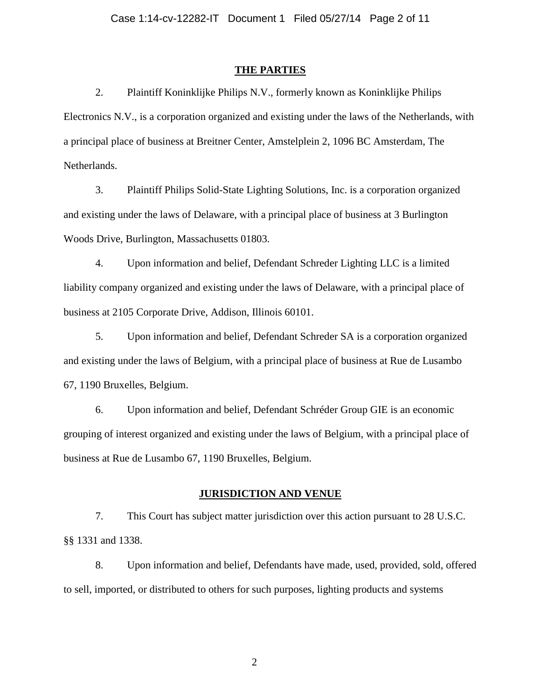#### **THE PARTIES**

2. Plaintiff Koninklijke Philips N.V., formerly known as Koninklijke Philips Electronics N.V., is a corporation organized and existing under the laws of the Netherlands, with a principal place of business at Breitner Center, Amstelplein 2, 1096 BC Amsterdam, The Netherlands.

3. Plaintiff Philips Solid-State Lighting Solutions, Inc. is a corporation organized and existing under the laws of Delaware, with a principal place of business at 3 Burlington Woods Drive, Burlington, Massachusetts 01803.

4. Upon information and belief, Defendant Schreder Lighting LLC is a limited liability company organized and existing under the laws of Delaware, with a principal place of business at 2105 Corporate Drive, Addison, Illinois 60101.

5. Upon information and belief, Defendant Schreder SA is a corporation organized and existing under the laws of Belgium, with a principal place of business at Rue de Lusambo 67, 1190 Bruxelles, Belgium.

6. Upon information and belief, Defendant Schréder Group GIE is an economic grouping of interest organized and existing under the laws of Belgium, with a principal place of business at Rue de Lusambo 67, 1190 Bruxelles, Belgium.

## **JURISDICTION AND VENUE**

7. This Court has subject matter jurisdiction over this action pursuant to 28 U.S.C. §§ 1331 and 1338.

8. Upon information and belief, Defendants have made, used, provided, sold, offered to sell, imported, or distributed to others for such purposes, lighting products and systems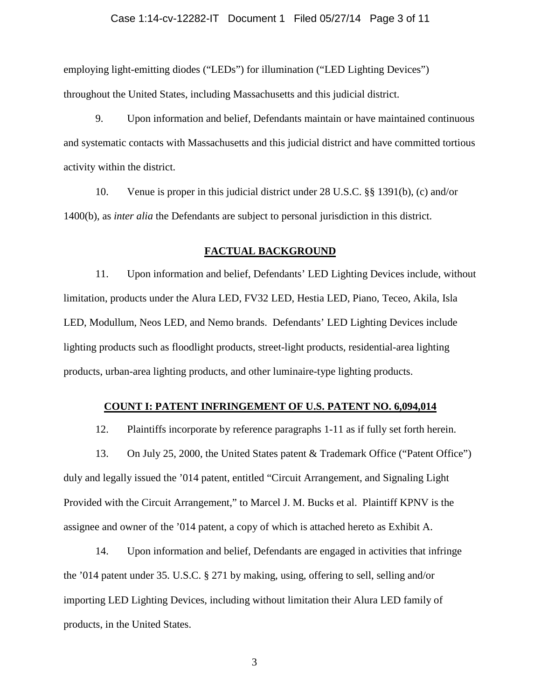#### Case 1:14-cv-12282-IT Document 1 Filed 05/27/14 Page 3 of 11

employing light-emitting diodes ("LEDs") for illumination ("LED Lighting Devices") throughout the United States, including Massachusetts and this judicial district.

9. Upon information and belief, Defendants maintain or have maintained continuous and systematic contacts with Massachusetts and this judicial district and have committed tortious activity within the district.

10. Venue is proper in this judicial district under 28 U.S.C. §§ 1391(b), (c) and/or 1400(b), as *inter alia* the Defendants are subject to personal jurisdiction in this district.

# **FACTUAL BACKGROUND**

11. Upon information and belief, Defendants' LED Lighting Devices include, without limitation, products under the Alura LED, FV32 LED, Hestia LED, Piano, Teceo, Akila, Isla LED, Modullum, Neos LED, and Nemo brands. Defendants' LED Lighting Devices include lighting products such as floodlight products, street-light products, residential-area lighting products, urban-area lighting products, and other luminaire-type lighting products.

### **COUNT I: PATENT INFRINGEMENT OF U.S. PATENT NO. 6,094,014**

12. Plaintiffs incorporate by reference paragraphs 1-11 as if fully set forth herein.

13. On July 25, 2000, the United States patent & Trademark Office ("Patent Office") duly and legally issued the '014 patent, entitled "Circuit Arrangement, and Signaling Light Provided with the Circuit Arrangement," to Marcel J. M. Bucks et al. Plaintiff KPNV is the assignee and owner of the '014 patent, a copy of which is attached hereto as Exhibit A.

14. Upon information and belief, Defendants are engaged in activities that infringe the '014 patent under 35. U.S.C. § 271 by making, using, offering to sell, selling and/or importing LED Lighting Devices, including without limitation their Alura LED family of products, in the United States.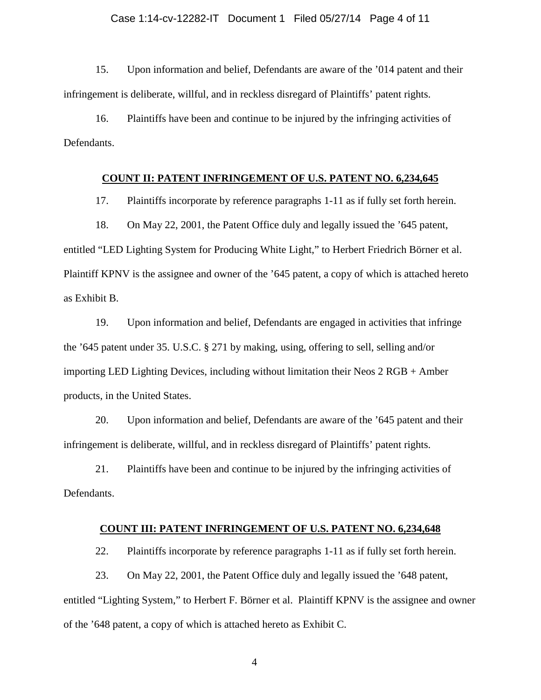#### Case 1:14-cv-12282-IT Document 1 Filed 05/27/14 Page 4 of 11

15. Upon information and belief, Defendants are aware of the '014 patent and their infringement is deliberate, willful, and in reckless disregard of Plaintiffs' patent rights.

16. Plaintiffs have been and continue to be injured by the infringing activities of Defendants.

#### **COUNT II: PATENT INFRINGEMENT OF U.S. PATENT NO. 6,234,645**

17. Plaintiffs incorporate by reference paragraphs 1-11 as if fully set forth herein.

18. On May 22, 2001, the Patent Office duly and legally issued the '645 patent, entitled "LED Lighting System for Producing White Light," to Herbert Friedrich Börner et al. Plaintiff KPNV is the assignee and owner of the '645 patent, a copy of which is attached hereto as Exhibit B.

19. Upon information and belief, Defendants are engaged in activities that infringe the '645 patent under 35. U.S.C. § 271 by making, using, offering to sell, selling and/or importing LED Lighting Devices, including without limitation their Neos 2 RGB + Amber products, in the United States.

20. Upon information and belief, Defendants are aware of the '645 patent and their infringement is deliberate, willful, and in reckless disregard of Plaintiffs' patent rights.

21. Plaintiffs have been and continue to be injured by the infringing activities of Defendants.

## **COUNT III: PATENT INFRINGEMENT OF U.S. PATENT NO. 6,234,648**

22. Plaintiffs incorporate by reference paragraphs 1-11 as if fully set forth herein.

23. On May 22, 2001, the Patent Office duly and legally issued the '648 patent, entitled "Lighting System," to Herbert F. Börner et al. Plaintiff KPNV is the assignee and owner of the '648 patent, a copy of which is attached hereto as Exhibit C.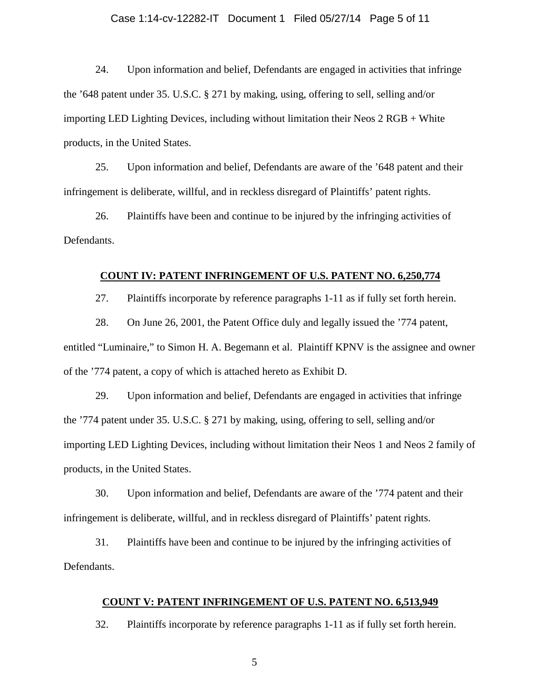#### Case 1:14-cv-12282-IT Document 1 Filed 05/27/14 Page 5 of 11

24. Upon information and belief, Defendants are engaged in activities that infringe the '648 patent under 35. U.S.C. § 271 by making, using, offering to sell, selling and/or importing LED Lighting Devices, including without limitation their Neos 2 RGB + White products, in the United States.

25. Upon information and belief, Defendants are aware of the '648 patent and their infringement is deliberate, willful, and in reckless disregard of Plaintiffs' patent rights.

26. Plaintiffs have been and continue to be injured by the infringing activities of Defendants.

#### **COUNT IV: PATENT INFRINGEMENT OF U.S. PATENT NO. 6,250,774**

27. Plaintiffs incorporate by reference paragraphs 1-11 as if fully set forth herein.

28. On June 26, 2001, the Patent Office duly and legally issued the '774 patent, entitled "Luminaire," to Simon H. A. Begemann et al. Plaintiff KPNV is the assignee and owner of the '774 patent, a copy of which is attached hereto as Exhibit D.

29. Upon information and belief, Defendants are engaged in activities that infringe the '774 patent under 35. U.S.C. § 271 by making, using, offering to sell, selling and/or importing LED Lighting Devices, including without limitation their Neos 1 and Neos 2 family of products, in the United States.

30. Upon information and belief, Defendants are aware of the '774 patent and their infringement is deliberate, willful, and in reckless disregard of Plaintiffs' patent rights.

31. Plaintiffs have been and continue to be injured by the infringing activities of Defendants.

# **COUNT V: PATENT INFRINGEMENT OF U.S. PATENT NO. 6,513,949**

32. Plaintiffs incorporate by reference paragraphs 1-11 as if fully set forth herein.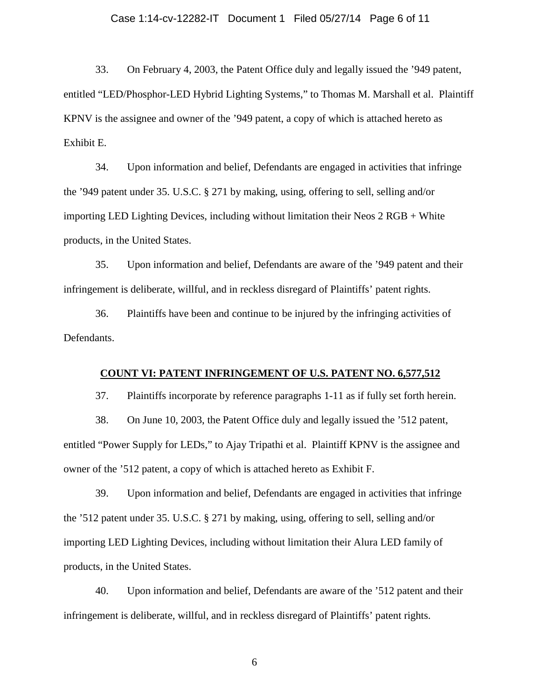#### Case 1:14-cv-12282-IT Document 1 Filed 05/27/14 Page 6 of 11

33. On February 4, 2003, the Patent Office duly and legally issued the '949 patent, entitled "LED/Phosphor-LED Hybrid Lighting Systems," to Thomas M. Marshall et al. Plaintiff KPNV is the assignee and owner of the '949 patent, a copy of which is attached hereto as Exhibit E.

34. Upon information and belief, Defendants are engaged in activities that infringe the '949 patent under 35. U.S.C. § 271 by making, using, offering to sell, selling and/or importing LED Lighting Devices, including without limitation their Neos 2 RGB + White products, in the United States.

35. Upon information and belief, Defendants are aware of the '949 patent and their infringement is deliberate, willful, and in reckless disregard of Plaintiffs' patent rights.

36. Plaintiffs have been and continue to be injured by the infringing activities of Defendants.

## **COUNT VI: PATENT INFRINGEMENT OF U.S. PATENT NO. 6,577,512**

37. Plaintiffs incorporate by reference paragraphs 1-11 as if fully set forth herein.

38. On June 10, 2003, the Patent Office duly and legally issued the '512 patent, entitled "Power Supply for LEDs," to Ajay Tripathi et al. Plaintiff KPNV is the assignee and owner of the '512 patent, a copy of which is attached hereto as Exhibit F.

39. Upon information and belief, Defendants are engaged in activities that infringe the '512 patent under 35. U.S.C. § 271 by making, using, offering to sell, selling and/or importing LED Lighting Devices, including without limitation their Alura LED family of products, in the United States.

40. Upon information and belief, Defendants are aware of the '512 patent and their infringement is deliberate, willful, and in reckless disregard of Plaintiffs' patent rights.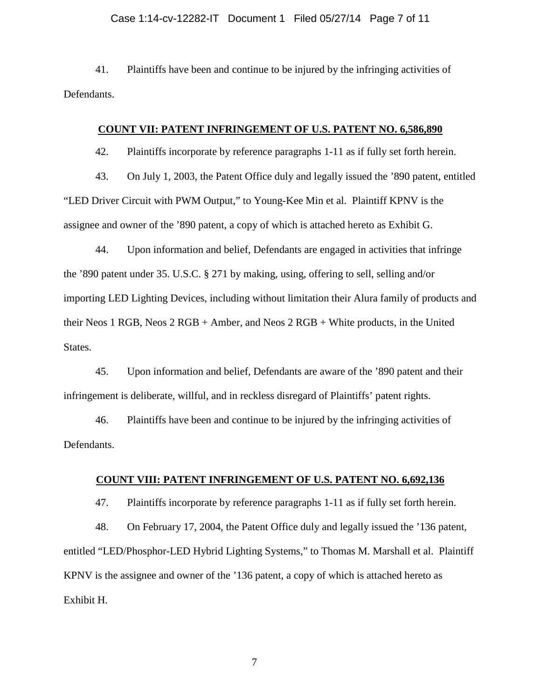#### Case 1:14-cv-12282-IT Document 1 Filed 05/27/14 Page 7 of 11

41. Plaintiffs have been and continue to be injured by the infringing activities of Defendants.

### **COUNT VII: PATENT INFRINGEMENT OF U.S. PATENT NO. 6,586,890**

42. Plaintiffs incorporate by reference paragraphs 1-11 as if fully set forth herein.

43. On July 1, 2003, the Patent Office duly and legally issued the '890 patent, entitled "LED Driver Circuit with PWM Output," to Young-Kee Min et al. Plaintiff KPNV is the assignee and owner of the '890 patent, a copy of which is attached hereto as Exhibit G.

44. Upon information and belief, Defendants are engaged in activities that infringe the '890 patent under 35. U.S.C. § 271 by making, using, offering to sell, selling and/or importing LED Lighting Devices, including without limitation their Alura family of products and their Neos 1 RGB, Neos 2 RGB + Amber, and Neos 2 RGB + White products, in the United States.

45. Upon information and belief, Defendants are aware of the '890 patent and their infringement is deliberate, willful, and in reckless disregard of Plaintiffs' patent rights.

46. Plaintiffs have been and continue to be injured by the infringing activities of Defendants.

# **COUNT VIII: PATENT INFRINGEMENT OF U.S. PATENT NO. 6,692,136**

47. Plaintiffs incorporate by reference paragraphs 1-11 as if fully set forth herein.

48. On February 17, 2004, the Patent Office duly and legally issued the '136 patent, entitled "LED/Phosphor-LED Hybrid Lighting Systems," to Thomas M. Marshall et al. Plaintiff KPNV is the assignee and owner of the '136 patent, a copy of which is attached hereto as Exhibit H.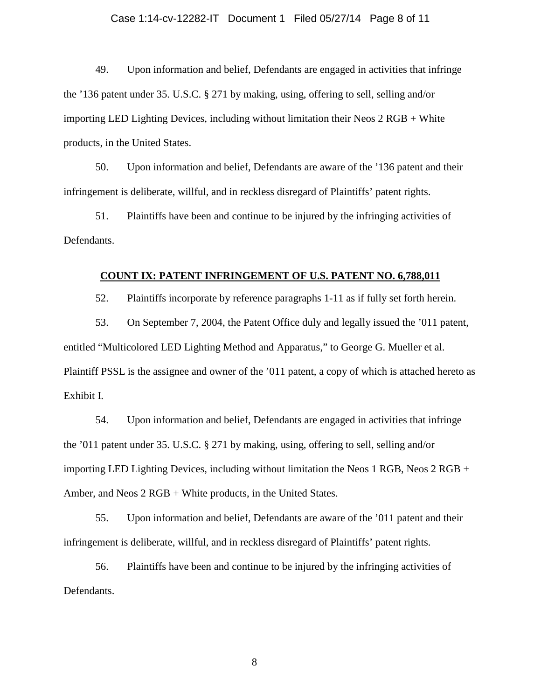#### Case 1:14-cv-12282-IT Document 1 Filed 05/27/14 Page 8 of 11

49. Upon information and belief, Defendants are engaged in activities that infringe the '136 patent under 35. U.S.C. § 271 by making, using, offering to sell, selling and/or importing LED Lighting Devices, including without limitation their Neos 2 RGB + White products, in the United States.

50. Upon information and belief, Defendants are aware of the '136 patent and their infringement is deliberate, willful, and in reckless disregard of Plaintiffs' patent rights.

51. Plaintiffs have been and continue to be injured by the infringing activities of Defendants.

#### **COUNT IX: PATENT INFRINGEMENT OF U.S. PATENT NO. 6,788,011**

52. Plaintiffs incorporate by reference paragraphs 1-11 as if fully set forth herein.

53. On September 7, 2004, the Patent Office duly and legally issued the '011 patent, entitled "Multicolored LED Lighting Method and Apparatus," to George G. Mueller et al. Plaintiff PSSL is the assignee and owner of the '011 patent, a copy of which is attached hereto as Exhibit I.

54. Upon information and belief, Defendants are engaged in activities that infringe the '011 patent under 35. U.S.C. § 271 by making, using, offering to sell, selling and/or importing LED Lighting Devices, including without limitation the Neos 1 RGB, Neos 2 RGB + Amber, and Neos 2 RGB + White products, in the United States.

55. Upon information and belief, Defendants are aware of the '011 patent and their infringement is deliberate, willful, and in reckless disregard of Plaintiffs' patent rights.

56. Plaintiffs have been and continue to be injured by the infringing activities of Defendants.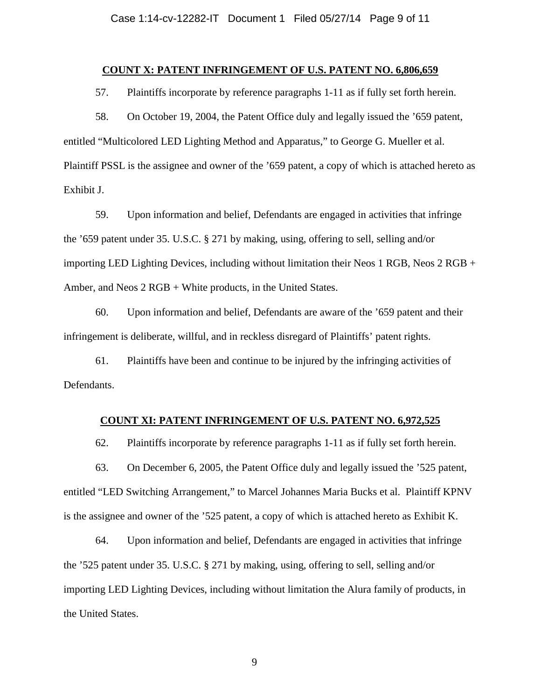## **COUNT X: PATENT INFRINGEMENT OF U.S. PATENT NO. 6,806,659**

57. Plaintiffs incorporate by reference paragraphs 1-11 as if fully set forth herein.

58. On October 19, 2004, the Patent Office duly and legally issued the '659 patent, entitled "Multicolored LED Lighting Method and Apparatus," to George G. Mueller et al. Plaintiff PSSL is the assignee and owner of the '659 patent, a copy of which is attached hereto as Exhibit J.

59. Upon information and belief, Defendants are engaged in activities that infringe the '659 patent under 35. U.S.C. § 271 by making, using, offering to sell, selling and/or importing LED Lighting Devices, including without limitation their Neos 1 RGB, Neos 2 RGB + Amber, and Neos 2 RGB + White products, in the United States.

60. Upon information and belief, Defendants are aware of the '659 patent and their infringement is deliberate, willful, and in reckless disregard of Plaintiffs' patent rights.

61. Plaintiffs have been and continue to be injured by the infringing activities of Defendants.

# **COUNT XI: PATENT INFRINGEMENT OF U.S. PATENT NO. 6,972,525**

62. Plaintiffs incorporate by reference paragraphs 1-11 as if fully set forth herein.

63. On December 6, 2005, the Patent Office duly and legally issued the '525 patent, entitled "LED Switching Arrangement," to Marcel Johannes Maria Bucks et al. Plaintiff KPNV is the assignee and owner of the '525 patent, a copy of which is attached hereto as Exhibit K.

64. Upon information and belief, Defendants are engaged in activities that infringe the '525 patent under 35. U.S.C. § 271 by making, using, offering to sell, selling and/or importing LED Lighting Devices, including without limitation the Alura family of products, in the United States.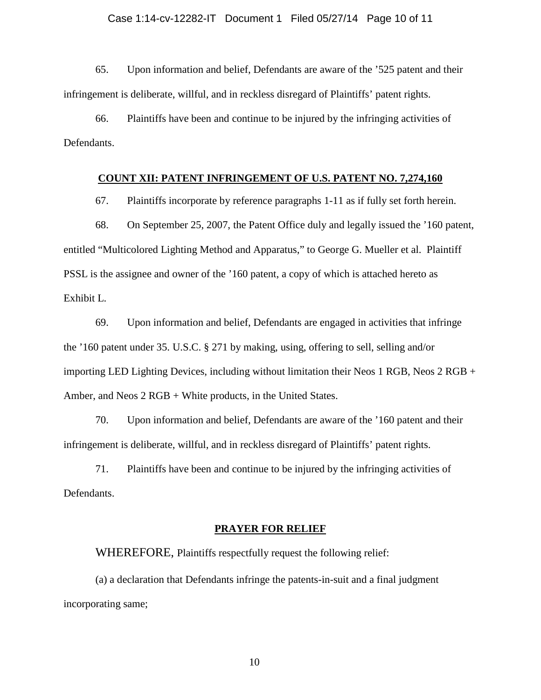65. Upon information and belief, Defendants are aware of the '525 patent and their infringement is deliberate, willful, and in reckless disregard of Plaintiffs' patent rights.

66. Plaintiffs have been and continue to be injured by the infringing activities of Defendants.

## **COUNT XII: PATENT INFRINGEMENT OF U.S. PATENT NO. 7,274,160**

67. Plaintiffs incorporate by reference paragraphs 1-11 as if fully set forth herein.

68. On September 25, 2007, the Patent Office duly and legally issued the '160 patent, entitled "Multicolored Lighting Method and Apparatus," to George G. Mueller et al. Plaintiff PSSL is the assignee and owner of the '160 patent, a copy of which is attached hereto as Exhibit L.

69. Upon information and belief, Defendants are engaged in activities that infringe the '160 patent under 35. U.S.C. § 271 by making, using, offering to sell, selling and/or importing LED Lighting Devices, including without limitation their Neos 1 RGB, Neos 2 RGB + Amber, and Neos 2 RGB + White products, in the United States.

70. Upon information and belief, Defendants are aware of the '160 patent and their infringement is deliberate, willful, and in reckless disregard of Plaintiffs' patent rights.

71. Plaintiffs have been and continue to be injured by the infringing activities of Defendants.

#### **PRAYER FOR RELIEF**

WHEREFORE, Plaintiffs respectfully request the following relief:

(a) a declaration that Defendants infringe the patents-in-suit and a final judgment incorporating same;